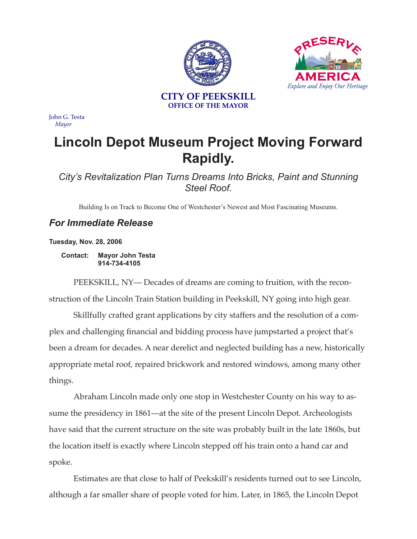

ы

John G. Testa *Mayor*

## **Lincoln Depot Museum Project Moving Forward Rapidly.**

*City's Revitalization Plan Turns Dreams Into Bricks, Paint and Stunning Steel Roof.*

Building Is on Track to Become One of Westchester's Newest and Most Fascinating Museums.

## *For Immediate Release*

**Tuesday, Nov. 28, 2006**

**Contact: Mayor John Testa 914-734-4105**

PEEKSKILL, NY— Decades of dreams are coming to fruition, with the reconstruction of the Lincoln Train Station building in Peekskill, NY going into high gear.

Skillfully crafted grant applications by city staffers and the resolution of a complex and challenging financial and bidding process have jumpstarted a project that's been a dream for decades. A near derelict and neglected building has a new, historically appropriate metal roof, repaired brickwork and restored windows, among many other things.

Abraham Lincoln made only one stop in Westchester County on his way to assume the presidency in 1861—at the site of the present Lincoln Depot. Archeologists have said that the current structure on the site was probably built in the late 1860s, but the location itself is exactly where Lincoln stepped off his train onto a hand car and spoke.

Estimates are that close to half of Peekskill's residents turned out to see Lincoln, although a far smaller share of people voted for him. Later, in 1865, the Lincoln Depot